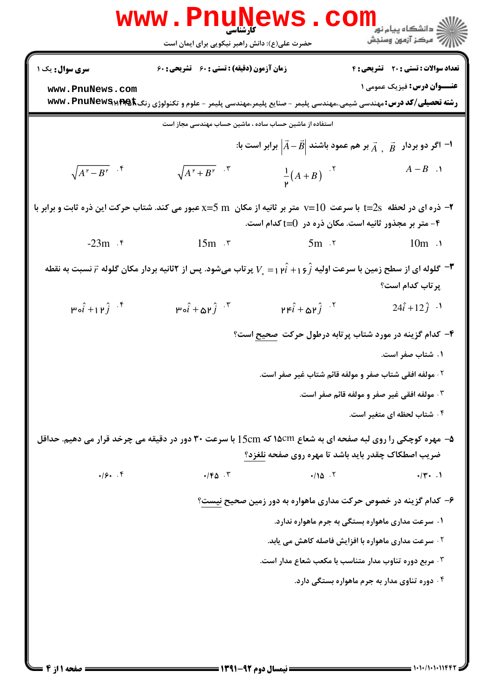|                                                                                                                                                                                          | www.PnuNews.                                                                                                             |                                                                                   | الاد دانشگاه پيام نو <b>ر LL</b><br>الاس مرکز آزمون وسنجش                                                |  |  |
|------------------------------------------------------------------------------------------------------------------------------------------------------------------------------------------|--------------------------------------------------------------------------------------------------------------------------|-----------------------------------------------------------------------------------|----------------------------------------------------------------------------------------------------------|--|--|
|                                                                                                                                                                                          | حضرت علی(ع): دانش راهبر نیکویی برای ایمان است                                                                            |                                                                                   |                                                                                                          |  |  |
| سری سوال: یک ۱                                                                                                                                                                           | زمان آزمون (دقیقه) : تستی : 60 تشریحی : 60                                                                               |                                                                                   | <b>تعداد سوالات : تستی : 20 تشریحی : 4</b>                                                               |  |  |
| www.PnuNews.com                                                                                                                                                                          | <b>رشته تحصیلی/کد درس:</b> مهندسی شیمی.،مهندسی پلیمر - صنایع پلیمر،مهندسی پلیمر - علوم و تکنولوژی رنگ∰TAG & WWW . PnuNew |                                                                                   | <b>عنـــوان درس:</b> فیزیک عمومی ۱                                                                       |  |  |
| استفاده از ماشین حساب ساده ، ماشین حساب مهندسی مجاز است                                                                                                                                  |                                                                                                                          |                                                                                   |                                                                                                          |  |  |
|                                                                                                                                                                                          |                                                                                                                          |                                                                                   | ا- اگر دو بردار۔ $\vec{A}$ , $\vec{B}$ بر هم عمود باشند $\vec{A}-\vec{B}$ برابر است با $\vec{A}-\vec{B}$ |  |  |
| $\sqrt{A^{\nu}-B^{\nu}}$ .                                                                                                                                                               | $\sqrt{A^{\dagger}+B^{\dagger}}$ . $\tilde{\mathbf{r}}$                                                                  | $\frac{1}{p}(A+B)^{-1}$                                                           | $A-B$ .                                                                                                  |  |  |
| ۴- متر بر مجذور ثانیه است. مکان ذره در ()=t کدام است.                                                                                                                                    |                                                                                                                          |                                                                                   |                                                                                                          |  |  |
| $-23m$ . ۴                                                                                                                                                                               | $15m$ $\sqrt{5}m$ $\sqrt{5}m$ $\sqrt{5}m$                                                                                |                                                                                   | $10m \lambda$                                                                                            |  |  |
| ا ہو ہے کو بہ تو کی بہتر کی ہے کہ کہ اولیه $\hat{i}$ ( خ $\hat{i}+i\hat{j}+j\in V$ پر تاب میشود. پس از ۲ثانیه بردار مکان گلوله $\vec{r}$ نسبت به نقطه $\blacksquare$<br>پر تاب کدام است؟ |                                                                                                                          |                                                                                   |                                                                                                          |  |  |
| $\mu$ <sub>o</sub> $\hat{i}$ + $\mu$ $\hat{j}$ $\hat{y}$                                                                                                                                 | $\vec{r}$ * $\hat{i}$ + $\Delta \vec{r}$ $\hat{j}$ *                                                                     | $\mathbf{r} \mathbf{r} \hat{i} + \mathbf{\omega} \mathbf{r} \hat{j}$ $\mathbf{r}$ | $24\hat{i} + 12\hat{j}$ ·                                                                                |  |  |
|                                                                                                                                                                                          |                                                                                                                          |                                                                                   | ۴– کدام گزینه در مورد شتاب پرتابه درطول حرکت <u>صحیح</u> است؟                                            |  |  |
|                                                                                                                                                                                          |                                                                                                                          |                                                                                   | ۱. شتاب صفر است.                                                                                         |  |  |
|                                                                                                                                                                                          |                                                                                                                          | ۰۲ مولفه افقی شتاب صفر و مولفه قائم شتاب غیر صفر است.                             |                                                                                                          |  |  |
|                                                                                                                                                                                          |                                                                                                                          |                                                                                   | ۰۳ مولفه افقی غیر صفر و مولفه قائم صفر است.                                                              |  |  |
|                                                                                                                                                                                          |                                                                                                                          |                                                                                   | ۰۴ شتاب لحظه ای متغیر است.                                                                               |  |  |
|                                                                                                                                                                                          | ۵- مهره کوچکی را روی لبه صفحه ای به شعاع ۱۵cm که 15cm با سرعت ۳۰ دور در دقیقه می چرخد قرار می دهیم. حداقل                |                                                                                   |                                                                                                          |  |  |
|                                                                                                                                                                                          |                                                                                                                          | ضریب اصطکاک چقدر باید باشد تا مهره روی صفحه نلغزد؟                                |                                                                                                          |  |  |
| $.19.$ . ۴                                                                                                                                                                               | $\cdot$ / $F\Delta$ .                                                                                                    | .100.7                                                                            | $\cdot/\Upsilon$ . 1                                                                                     |  |  |
| ۶– کدام گزینه در خصوص حرکت مداری ماهواره به دور زمین صحیح نیست؟                                                                                                                          |                                                                                                                          |                                                                                   |                                                                                                          |  |  |
|                                                                                                                                                                                          |                                                                                                                          |                                                                                   | ۰۱ سرعت مداری ماهواره بستگی به جرم ماهواره ندارد.                                                        |  |  |
|                                                                                                                                                                                          |                                                                                                                          |                                                                                   | <sup>۲</sup> · سرعت مداری ماهواره با افزایش فاصله کاهش می یابد.                                          |  |  |
|                                                                                                                                                                                          |                                                                                                                          | ۰۳ مربع دوره تناوب مدار متناسب با مکعب شعاع مدار است.                             |                                                                                                          |  |  |
|                                                                                                                                                                                          |                                                                                                                          |                                                                                   | ۰۴ دوره تناوی مدار به جرم ماهواره بستگی دارد.                                                            |  |  |
|                                                                                                                                                                                          |                                                                                                                          |                                                                                   |                                                                                                          |  |  |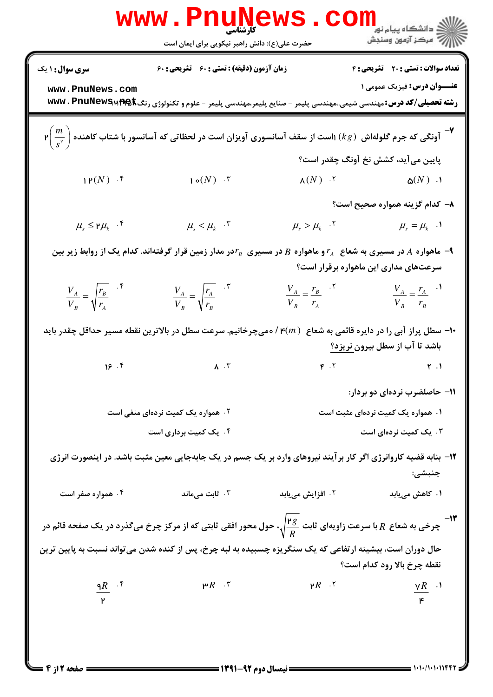|                                                                                                                                                                       | <b>www.Pnunews.co</b><br>حضرت علی(ع): دانش راهبر نیکویی برای ایمان است                                                                  |                                         | دانشگاه پيام نور<br>ا <mark>∜</mark> مرکز آزمهن وسنجش |  |  |
|-----------------------------------------------------------------------------------------------------------------------------------------------------------------------|-----------------------------------------------------------------------------------------------------------------------------------------|-----------------------------------------|-------------------------------------------------------|--|--|
| سری سوال : ۱ یک                                                                                                                                                       | زمان آزمون (دقیقه) : تستی : 60 تشریحی : 60                                                                                              |                                         | تعداد سوالات : تستى : 20 تشريحي : 4                   |  |  |
| www.PnuNews.com                                                                                                                                                       | <b>رشته تحصیلی/کد درس:</b> مهندسی شیمی.،مهندسی پلیمر - صنایع پلیمر،مهندسی پلیمر - علوم و تکنولوژی رنگ∰TAG & WWW . PnuNew                |                                         | <b>عنــوان درس:</b> فیزیک عمومی ۱                     |  |  |
| <b>۳</b> - آونگی که جرم گلولهاش $(kg)$ ۱است از سقف آسانسوری آویزان است در لحظاتی که آسانسور با شتاب کاهنده $\left(\frac{m}{s^r}\right)$ ۲                             |                                                                                                                                         |                                         |                                                       |  |  |
|                                                                                                                                                                       |                                                                                                                                         |                                         | پایین میآید، کشش نخ آونگ چقدر است؟                    |  |  |
| $1P(N)$ .                                                                                                                                                             | $\mathsf{1}\circ(N)$ . $\mathsf{r}$                                                                                                     | $\Lambda(N)$ . $\zeta$                  | $\Delta(N)$ .)                                        |  |  |
|                                                                                                                                                                       |                                                                                                                                         |                                         | ٨- كدام گزينه همواره صحيح است؟                        |  |  |
| $\mu_{s} \leq \mu_{k}$ .                                                                                                                                              | $\mu_{s} < \mu_{k}$ .                                                                                                                   | $\mu_{s} > \mu_{k}$ .                   | $\mu_{s} = \mu_{k}$ .                                 |  |  |
| اهواره $A$ در مسیری به شعاع $r_{_A}$ و ماهواره $B$ در مسیری $r_{_B}$ در مدار زمین قرار گرفتهاند. کدام یک از روابط زیر بین A-<br>سرعتهای مداری این ماهواره برقرار است؟ |                                                                                                                                         |                                         |                                                       |  |  |
| $\frac{V_A}{V_B} = \sqrt{\frac{r_B}{r_A}}$ .                                                                                                                          | $\frac{V_A}{V_B} = \sqrt{\frac{r_A}{r_B}}$ . "                                                                                          | $\frac{V_A}{V_B} = \frac{r_B}{r_A}$ . Y | $\frac{V_A}{V_A} = \frac{r_A}{r_A}$<br>$V_B$ $r_B$    |  |  |
| +ا– سطل پراز آبی را در دایره قائمی به شعاع ( /e( <i>m ) هیچر</i> خانیم. سرعت سطل در بالاترین نقطه مسیر حداقل چقدر باید<br>باشد تا آب از سطل بیرون نریزد؟              |                                                                                                                                         |                                         |                                                       |  |  |
|                                                                                                                                                                       | 18.5                                                                                                                                    | $F \cdot Y$                             | $\uparrow$ .                                          |  |  |
|                                                                                                                                                                       |                                                                                                                                         |                                         | ۱۱– حاصلضرب نردهای دو بردار:                          |  |  |
|                                                                                                                                                                       | ۰۲ همواره یک کمیت نردهای منفی است                                                                                                       |                                         | ۰۱ همواره یک کمیت نردهای مثبت است                     |  |  |
|                                                                                                                                                                       | ۰۴ یک کمیت برداری است                                                                                                                   |                                         | ۰۳ یک کمیت نردهای است                                 |  |  |
|                                                                                                                                                                       | ۱۲– بنابه قضیه کاروانرژی اگر کار بر آیند نیروهای وارد بر یک جسم در یک جابهجایی معین مثبت باشد. در اینصورت انرژی                         |                                         | جنبشي:                                                |  |  |
| ۰۴ همواره صفر است                                                                                                                                                     | ا ثابت میماند $\cdot$                                                                                                                   | ۰۲ افزایش می <b>یابد</b>                | ۰۱ کاهش می بابد                                       |  |  |
|                                                                                                                                                                       | چرخی به شعاع $R$ با سرعت زاویهای ثابت $\frac{\mathsf{P} \, {\cal B}}{R}$ ، حول محور افقی ثابتی که از مرکز چرخ میگذرد در یک صفحه قائم در |                                         |                                                       |  |  |
| حال دوران است، بیشینه ارتفاعی که یک سنگریزه چسبیده به لبه چرخ، پس از کنده شدن میتواند نسبت به پایین ترین<br>نقطه چرخ بالا رود کدام است؟                               |                                                                                                                                         |                                         |                                                       |  |  |
| $\frac{qR}{r}$ . $\frac{r}{r}$                                                                                                                                        | $P R$ . $\tilde{r}$                                                                                                                     | $R$ . $\zeta$                           | $\frac{\gamma R}{\kappa}$ . <sup>1</sup>              |  |  |
|                                                                                                                                                                       |                                                                                                                                         |                                         |                                                       |  |  |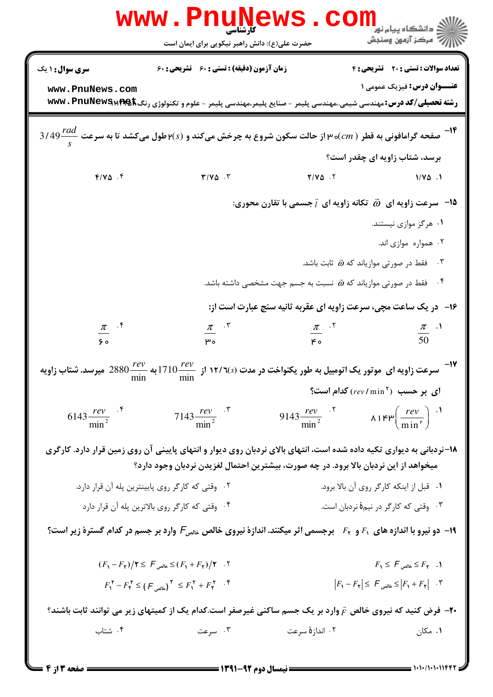| www                                                                                                                         | حضرت علی(ع): دانش راهبر نیکویی برای ایمان است                                                                                        |                                                                                  | ≦ دانشگاه پیام نو <b>ر</b><br>7' مرڪز آزمون وسنڊش                                                                |  |  |
|-----------------------------------------------------------------------------------------------------------------------------|--------------------------------------------------------------------------------------------------------------------------------------|----------------------------------------------------------------------------------|------------------------------------------------------------------------------------------------------------------|--|--|
| <b>سری سوال : ۱ یک</b>                                                                                                      | <b>زمان آزمون (دقیقه) : تستی : 60 گشریحی : 60</b>                                                                                    |                                                                                  | تعداد سوالات : تستى : 20 تشريحي : 4                                                                              |  |  |
| www.PnuNews.com                                                                                                             |                                                                                                                                      |                                                                                  | <b>عنـــوان درس:</b> فیزیک عمومی ۱                                                                               |  |  |
|                                                                                                                             | <b>رشته تحصیلی/کد درس:</b> مهندسی شیمی.،مهندسی پلیمر - صنایع پلیمر،مهندسی پلیمر - علوم و تکنولوژی رنگ www . PnuNewSMPQk              |                                                                                  |                                                                                                                  |  |  |
|                                                                                                                             |                                                                                                                                      |                                                                                  |                                                                                                                  |  |  |
|                                                                                                                             | 3/49 $\frac{rad}{s}$ صفحه گرامافونی به قطر ( m)ه۳ از حالت سکون شروع به چرخش میکند و ( ۳ $\epsilon(s)$ طول میکشد تا به سرعت           |                                                                                  |                                                                                                                  |  |  |
|                                                                                                                             |                                                                                                                                      |                                                                                  | برسد، شتاب زاویه ای چقدر است؟                                                                                    |  |  |
| $F/V\Delta$ .                                                                                                               | $T/V\Delta$ .                                                                                                                        | $Y/V\Delta$ . $Y$                                                                | $1/\gamma_{\Delta}$ .1                                                                                           |  |  |
|                                                                                                                             |                                                                                                                                      | ه - سرعت زاویه ای $\vec{a}$ تکانه زاویه ای $\vec{l}$ جسمی با تقارن محوری $\cdot$ |                                                                                                                  |  |  |
|                                                                                                                             |                                                                                                                                      |                                                                                  | ۰۱ هرگز موازی نیستند.                                                                                            |  |  |
|                                                                                                                             |                                                                                                                                      |                                                                                  | ۰۲ همواره موازی اند.                                                                                             |  |  |
|                                                                                                                             |                                                                                                                                      | فقط در صورتی موازیاند که $\vec{\omega}$ ثابت باشد.                               |                                                                                                                  |  |  |
|                                                                                                                             |                                                                                                                                      | فقط در صورتی موازیاند که $\vec{a}$ نسبت به جسم جهت مشخصی داشته باشد.             | $\cdot$ . $\mathbf{r}$                                                                                           |  |  |
|                                                                                                                             |                                                                                                                                      | ۱۶- در یک ساعت مچی، سرعت زاویه ای عقربه ثانیه سنج عبارت است از:                  |                                                                                                                  |  |  |
| $\frac{\pi}{50}$ if                                                                                                         | $\frac{\pi}{\mu_{\circ}}$ . $\sqrt{\frac{2}{\mu_{\circ}}}$                                                                           | $\frac{\pi}{\mu_{\circ}}$ . $\frac{1}{\pi}$                                      | $rac{\pi}{50}$ <sup>.1</sup>                                                                                     |  |  |
|                                                                                                                             |                                                                                                                                      |                                                                                  |                                                                                                                  |  |  |
|                                                                                                                             | سرعت زاویه ای موتور یک اتومبیل به طور یکنواخت در مدت ۱۲/٦(s) از $\frac{rev}{\min}$ 1710 به $\frac{rev}{\min}$ 2880 میرسد. شتاب زاویه |                                                                                  |                                                                                                                  |  |  |
|                                                                                                                             |                                                                                                                                      |                                                                                  | ای بر حسب $(rev/\min^{\gamma})$ کدام است؟                                                                        |  |  |
| $6143 \frac{rev}{min^2}$                                                                                                    | 7143 $\frac{rev}{min^2}$                                                                                                             | 9143 $\frac{rev}{min^2}$ $\lambda_1$ $\kappa_2$ $\frac{rev}{min^2}$ $\lambda_3$  |                                                                                                                  |  |  |
|                                                                                                                             | ۱۸-نردبانی به دیواری تکیه داده شده است، انتهای بالای نردبان روی دیوار و انتهای پایینی آن روی زمین قرار دارد. کارگری                  |                                                                                  |                                                                                                                  |  |  |
|                                                                                                                             | میخواهد از این نردبان بالا برود. در چه صورت، بیشترین احتمال لغزیدن نردبان وجود دارد؟                                                 |                                                                                  |                                                                                                                  |  |  |
|                                                                                                                             | ۰۲ وقتی که کارگر روی پایینترین پله آن قرار دارد.                                                                                     |                                                                                  | ٠١ قبل از اينكه كاركر روى أن بالا برود.                                                                          |  |  |
|                                                                                                                             | ۰۴ وقتی که کارگر روی بالاترین پله آن قرار دارد                                                                                       |                                                                                  | ۰۳ وقتی که کارگر در نیمهٔ نردبان است.                                                                            |  |  |
| ا- دو نیرو با اندازه های ۶٫ و ج $F$ برجسمی اثر میکنند. اندازهٔ نیروی خالص علمی $F$ وارد بر جسم در کدام گسترهٔ زیر است؟      |                                                                                                                                      |                                                                                  |                                                                                                                  |  |  |
|                                                                                                                             | $(F_1-F_7)/T \leq F_1F_3 \leq (F_1+F_7)/T$ . T                                                                                       |                                                                                  | $F_1 \leq F_2$ خالص $F_1$ . 1                                                                                    |  |  |
|                                                                                                                             | $F_1^{\gamma} - F_{\gamma}^{\gamma} \leq (F_{\text{odd}})^{\gamma} \leq F_{\gamma}^{\gamma} + F_{\gamma}^{\gamma}$ .                 |                                                                                  | $\left F_{1}-F_{\gamma}\right \leq F_{2}+F_{\gamma} $ $\leq$ $\left F_{1}+F_{\gamma}\right $ $\cdot$ $\tilde{r}$ |  |  |
| ۴۰- فرض کنید که نیروی خالص $\bar{r}$ وارد بر یک جسم ساکنی غیرصفر است.کدام یک از کمیتهای زیر می توانند ثابت باشند؟ $\bullet$ |                                                                                                                                      |                                                                                  |                                                                                                                  |  |  |
| ۰۴ شتاب                                                                                                                     | ۰۳ سرعت                                                                                                                              | ۰۲ اندازهٔ سرعت                                                                  | ۰۱ مکان                                                                                                          |  |  |
|                                                                                                                             |                                                                                                                                      |                                                                                  |                                                                                                                  |  |  |

 $= 1.1 - 11.11199$